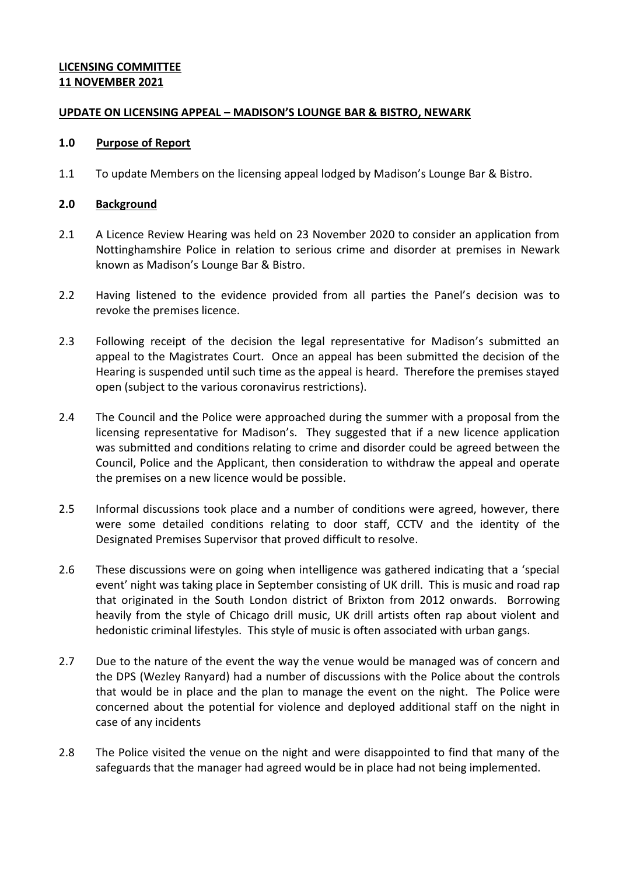# **LICENSING COMMITTEE 11 NOVEMBER 2021**

### **UPDATE ON LICENSING APPEAL – MADISON'S LOUNGE BAR & BISTRO, NEWARK**

#### **1.0 Purpose of Report**

1.1 To update Members on the licensing appeal lodged by Madison's Lounge Bar & Bistro.

### **2.0 Background**

- 2.1 A Licence Review Hearing was held on 23 November 2020 to consider an application from Nottinghamshire Police in relation to serious crime and disorder at premises in Newark known as Madison's Lounge Bar & Bistro.
- 2.2 Having listened to the evidence provided from all parties the Panel's decision was to revoke the premises licence.
- 2.3 Following receipt of the decision the legal representative for Madison's submitted an appeal to the Magistrates Court. Once an appeal has been submitted the decision of the Hearing is suspended until such time as the appeal is heard. Therefore the premises stayed open (subject to the various coronavirus restrictions).
- 2.4 The Council and the Police were approached during the summer with a proposal from the licensing representative for Madison's. They suggested that if a new licence application was submitted and conditions relating to crime and disorder could be agreed between the Council, Police and the Applicant, then consideration to withdraw the appeal and operate the premises on a new licence would be possible.
- 2.5 Informal discussions took place and a number of conditions were agreed, however, there were some detailed conditions relating to door staff, CCTV and the identity of the Designated Premises Supervisor that proved difficult to resolve.
- 2.6 These discussions were on going when intelligence was gathered indicating that a 'special event' night was taking place in September consisting of UK drill. This is music and road rap that originated in the South London district of Brixton from 2012 onwards. Borrowing heavily from the style of Chicago drill music, UK drill artists often rap about violent and hedonistic criminal lifestyles. This style of music is often associated with urban gangs.
- 2.7 Due to the nature of the event the way the venue would be managed was of concern and the DPS (Wezley Ranyard) had a number of discussions with the Police about the controls that would be in place and the plan to manage the event on the night. The Police were concerned about the potential for violence and deployed additional staff on the night in case of any incidents
- 2.8 The Police visited the venue on the night and were disappointed to find that many of the safeguards that the manager had agreed would be in place had not being implemented.